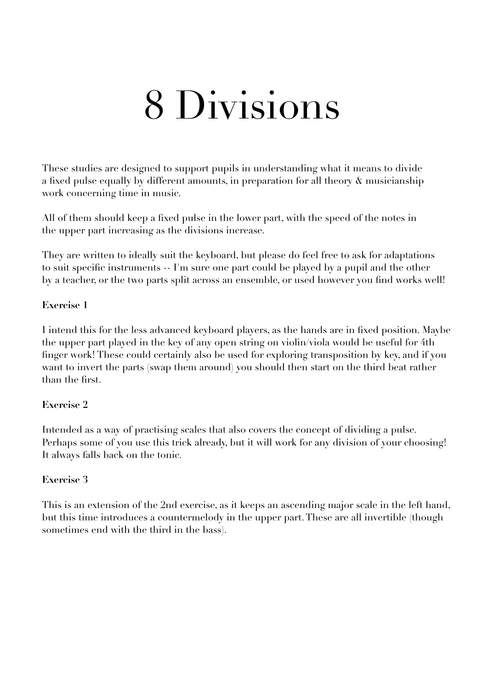# , Divisions

These studies are designed to support pupils in understanding what it means to divide a fixed pulse equally by different amounts, in preparation for all theory & musicianship work concerning time in music.

All of them should keep a fixed pulse in the lower part, with the speed of the notes in the upper part increasing as the divisions increase.

They are written to ideally suit the keyboard, but please do feel free to ask for adaptations to suit specific instruments -- I'm sure one part could be played by a pupil and the other by a teacher, or the two parts split across an ensemble, or used however you find works well!

#### **Exercise 1**

I intend this for the less advanced keyboard players, as the hands are in fixed position. Maybe the upper part played in the key of any open string on violin/viola would be useful for 4th finger work! These could certainly also be used for exploring transposition by key, and if you want to invert the parts (swap them around) you should then start on the third beat rather than the first.

#### **Exercise 2**

Intended as a way of practising scales that also covers the concept of dividing a pulse. Perhaps some of you use this trick already, but it will work for any division of your choosing! It always falls back on the tonic.

#### **Exercise 3**

This is an extension of the 2nd exercise, as it keeps an ascending major scale in the left hand, but this time introduces a countermelody in the upper part.These are all invertible (though sometimes end with the third in the bass).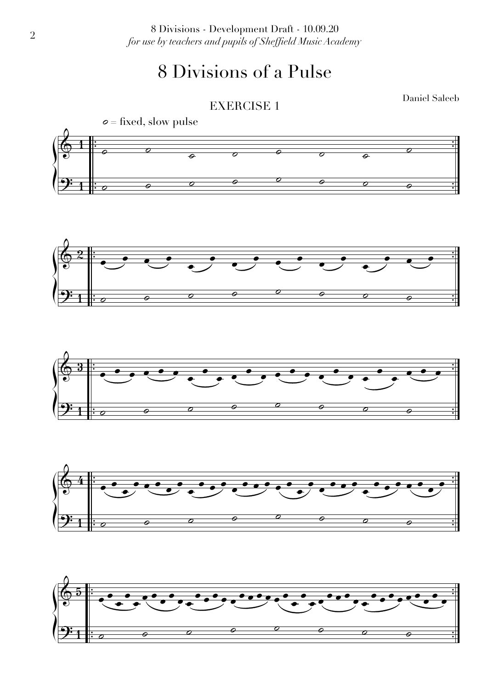8 Divisions - Development Draft - 10.09.20 *for use by teachers and pupils of Sheffield Music Academy*

## , Divisions of a Pulse

### EXERCISE 1

Daniel Saleeb









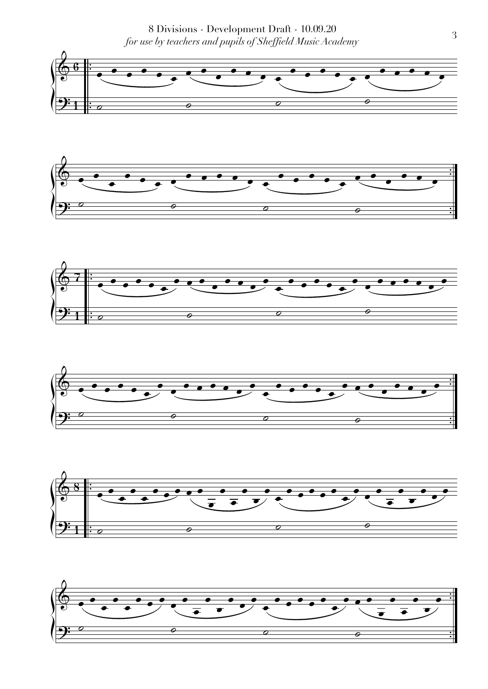











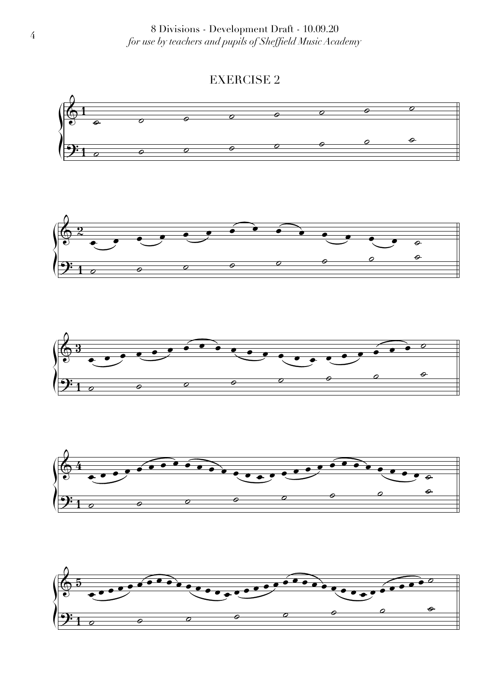

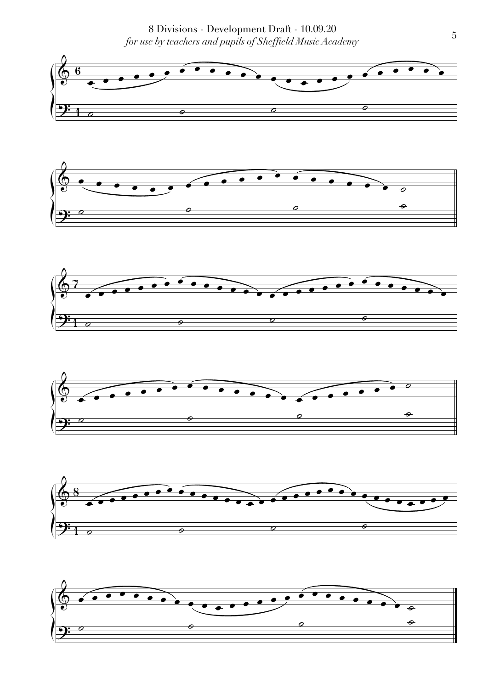











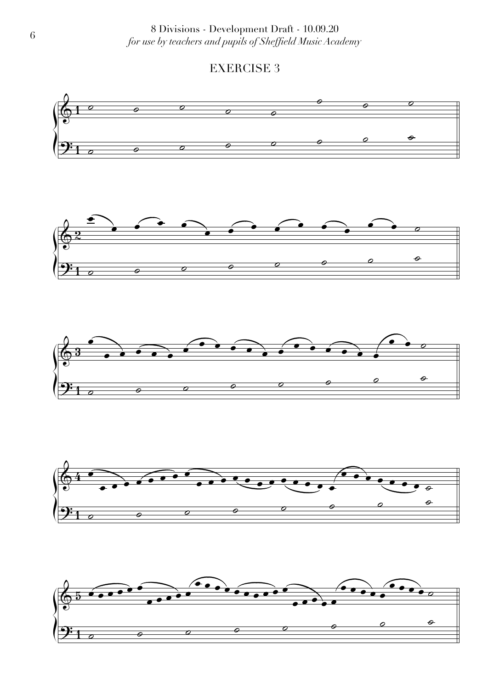EXERCISE 3

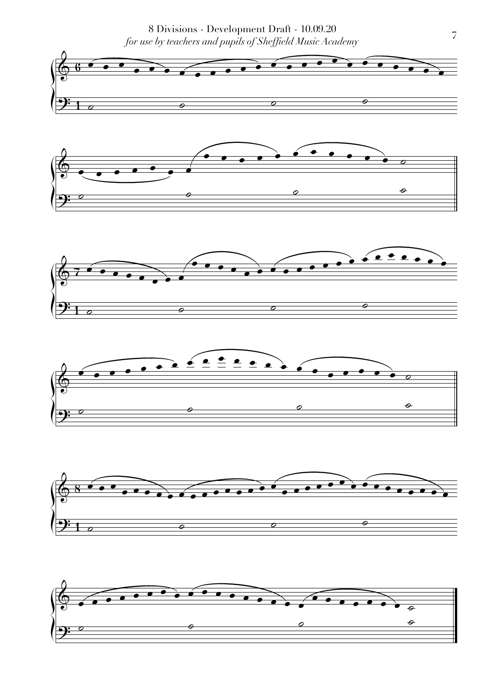